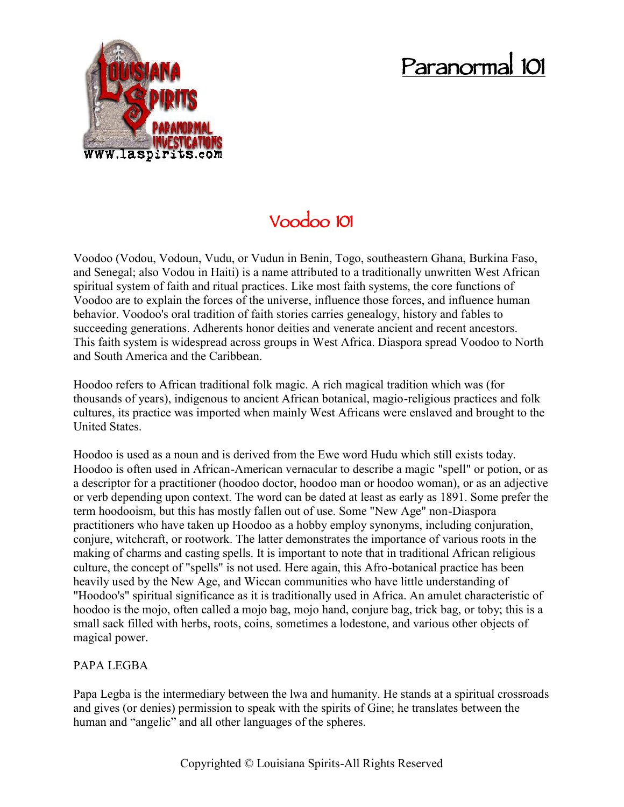## **Paranormal 101**



## **Voodoo 101**

Voodoo (Vodou, Vodoun, Vudu, or Vudun in Benin, Togo, southeastern Ghana, Burkina Faso, and Senegal; also Vodou in Haiti) is a name attributed to a traditionally unwritten West African spiritual system of faith and ritual practices. Like most faith systems, the core functions of Voodoo are to explain the forces of the universe, influence those forces, and influence human behavior. Voodoo's oral tradition of faith stories carries genealogy, history and fables to succeeding generations. Adherents honor deities and venerate ancient and recent ancestors. This faith system is widespread across groups in West Africa. Diaspora spread Voodoo to North and South America and the Caribbean.

Hoodoo refers to African traditional folk magic. A rich magical tradition which was (for thousands of years), indigenous to ancient African botanical, magio-religious practices and folk cultures, its practice was imported when mainly West Africans were enslaved and brought to the United States.

Hoodoo is used as a noun and is derived from the Ewe word Hudu which still exists today. Hoodoo is often used in African-American vernacular to describe a magic "spell" or potion, or as a descriptor for a practitioner (hoodoo doctor, hoodoo man or hoodoo woman), or as an adjective or verb depending upon context. The word can be dated at least as early as 1891. Some prefer the term hoodooism, but this has mostly fallen out of use. Some "New Age" non-Diaspora practitioners who have taken up Hoodoo as a hobby employ synonyms, including conjuration, conjure, witchcraft, or rootwork. The latter demonstrates the importance of various roots in the making of charms and casting spells. It is important to note that in traditional African religious culture, the concept of "spells" is not used. Here again, this Afro-botanical practice has been heavily used by the New Age, and Wiccan communities who have little understanding of "Hoodoo's" spiritual significance as it is traditionally used in Africa. An amulet characteristic of hoodoo is the mojo, often called a mojo bag, mojo hand, conjure bag, trick bag, or toby; this is a small sack filled with herbs, roots, coins, sometimes a lodestone, and various other objects of magical power.

## PAPA LEGBA

Papa Legba is the intermediary between the lwa and humanity. He stands at a spiritual crossroads and gives (or denies) permission to speak with the spirits of Gine; he translates between the human and "angelic" and all other languages of the spheres.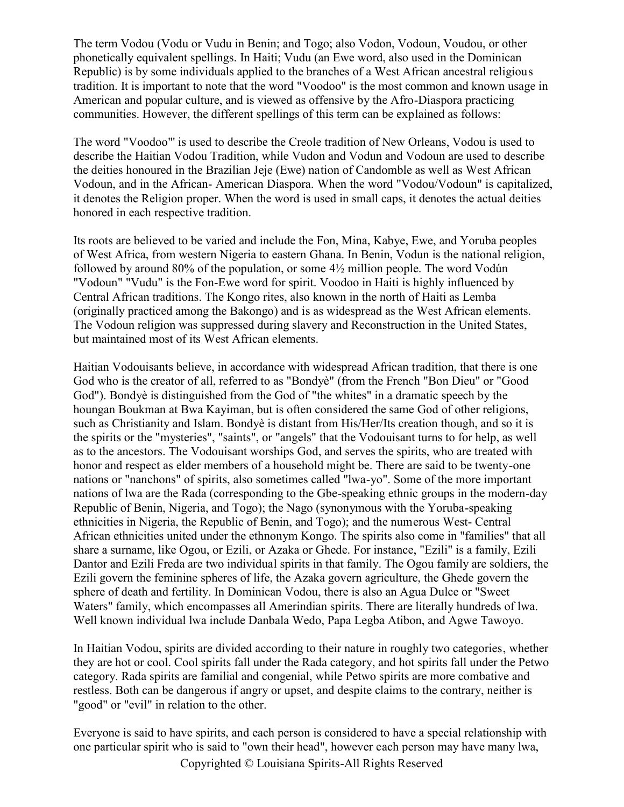The term Vodou (Vodu or Vudu in Benin; and Togo; also Vodon, Vodoun, Voudou, or other phonetically equivalent spellings. In Haiti; Vudu (an Ewe word, also used in the Dominican Republic) is by some individuals applied to the branches of a West African ancestral religious tradition. It is important to note that the word "Voodoo" is the most common and known usage in American and popular culture, and is viewed as offensive by the Afro-Diaspora practicing communities. However, the different spellings of this term can be explained as follows:

The word "Voodoo"' is used to describe the Creole tradition of New Orleans, Vodou is used to describe the Haitian Vodou Tradition, while Vudon and Vodun and Vodoun are used to describe the deities honoured in the Brazilian Jeje (Ewe) nation of Candomble as well as West African Vodoun, and in the African- American Diaspora. When the word "Vodou/Vodoun" is capitalized, it denotes the Religion proper. When the word is used in small caps, it denotes the actual deities honored in each respective tradition.

Its roots are believed to be varied and include the Fon, Mina, Kabye, Ewe, and Yoruba peoples of West Africa, from western Nigeria to eastern Ghana. In Benin, Vodun is the national religion, followed by around 80% of the population, or some 4½ million people. The word Vodún "Vodoun" "Vudu" is the Fon-Ewe word for spirit. Voodoo in Haiti is highly influenced by Central African traditions. The Kongo rites, also known in the north of Haiti as Lemba (originally practiced among the Bakongo) and is as widespread as the West African elements. The Vodoun religion was suppressed during slavery and Reconstruction in the United States, but maintained most of its West African elements.

Haitian Vodouisants believe, in accordance with widespread African tradition, that there is one God who is the creator of all, referred to as "Bondyè" (from the French "Bon Dieu" or "Good God"). Bondyè is distinguished from the God of "the whites" in a dramatic speech by the houngan Boukman at Bwa Kayiman, but is often considered the same God of other religions, such as Christianity and Islam. Bondyè is distant from His/Her/Its creation though, and so it is the spirits or the "mysteries", "saints", or "angels" that the Vodouisant turns to for help, as well as to the ancestors. The Vodouisant worships God, and serves the spirits, who are treated with honor and respect as elder members of a household might be. There are said to be twenty-one nations or "nanchons" of spirits, also sometimes called "lwa-yo". Some of the more important nations of lwa are the Rada (corresponding to the Gbe-speaking ethnic groups in the modern-day Republic of Benin, Nigeria, and Togo); the Nago (synonymous with the Yoruba-speaking ethnicities in Nigeria, the Republic of Benin, and Togo); and the numerous West- Central African ethnicities united under the ethnonym Kongo. The spirits also come in "families" that all share a surname, like Ogou, or Ezili, or Azaka or Ghede. For instance, "Ezili" is a family, Ezili Dantor and Ezili Freda are two individual spirits in that family. The Ogou family are soldiers, the Ezili govern the feminine spheres of life, the Azaka govern agriculture, the Ghede govern the sphere of death and fertility. In Dominican Vodou, there is also an Agua Dulce or "Sweet Waters" family, which encompasses all Amerindian spirits. There are literally hundreds of lwa. Well known individual lwa include Danbala Wedo, Papa Legba Atibon, and Agwe Tawoyo.

In Haitian Vodou, spirits are divided according to their nature in roughly two categories, whether they are hot or cool. Cool spirits fall under the Rada category, and hot spirits fall under the Petwo category. Rada spirits are familial and congenial, while Petwo spirits are more combative and restless. Both can be dangerous if angry or upset, and despite claims to the contrary, neither is "good" or "evil" in relation to the other.

Everyone is said to have spirits, and each person is considered to have a special relationship with one particular spirit who is said to "own their head", however each person may have many lwa,

Copyrighted © Louisiana Spirits-All Rights Reserved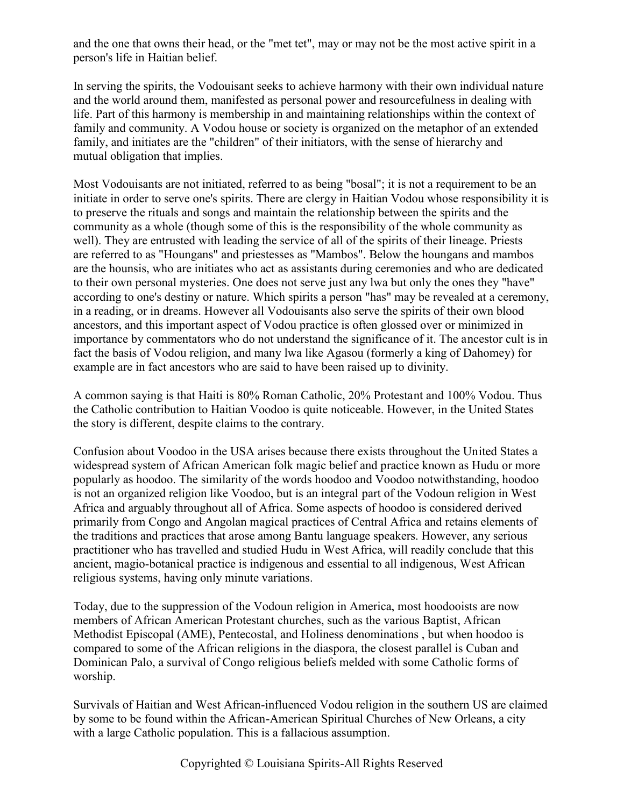and the one that owns their head, or the "met tet", may or may not be the most active spirit in a person's life in Haitian belief.

In serving the spirits, the Vodouisant seeks to achieve harmony with their own individual nature and the world around them, manifested as personal power and resourcefulness in dealing with life. Part of this harmony is membership in and maintaining relationships within the context of family and community. A Vodou house or society is organized on the metaphor of an extended family, and initiates are the "children" of their initiators, with the sense of hierarchy and mutual obligation that implies.

Most Vodouisants are not initiated, referred to as being "bosal"; it is not a requirement to be an initiate in order to serve one's spirits. There are clergy in Haitian Vodou whose responsibility it is to preserve the rituals and songs and maintain the relationship between the spirits and the community as a whole (though some of this is the responsibility of the whole community as well). They are entrusted with leading the service of all of the spirits of their lineage. Priests are referred to as "Houngans" and priestesses as "Mambos". Below the houngans and mambos are the hounsis, who are initiates who act as assistants during ceremonies and who are dedicated to their own personal mysteries. One does not serve just any lwa but only the ones they "have" according to one's destiny or nature. Which spirits a person "has" may be revealed at a ceremony, in a reading, or in dreams. However all Vodouisants also serve the spirits of their own blood ancestors, and this important aspect of Vodou practice is often glossed over or minimized in importance by commentators who do not understand the significance of it. The ancestor cult is in fact the basis of Vodou religion, and many lwa like Agasou (formerly a king of Dahomey) for example are in fact ancestors who are said to have been raised up to divinity.

A common saying is that Haiti is 80% Roman Catholic, 20% Protestant and 100% Vodou. Thus the Catholic contribution to Haitian Voodoo is quite noticeable. However, in the United States the story is different, despite claims to the contrary.

Confusion about Voodoo in the USA arises because there exists throughout the United States a widespread system of African American folk magic belief and practice known as Hudu or more popularly as hoodoo. The similarity of the words hoodoo and Voodoo notwithstanding, hoodoo is not an organized religion like Voodoo, but is an integral part of the Vodoun religion in West Africa and arguably throughout all of Africa. Some aspects of hoodoo is considered derived primarily from Congo and Angolan magical practices of Central Africa and retains elements of the traditions and practices that arose among Bantu language speakers. However, any serious practitioner who has travelled and studied Hudu in West Africa, will readily conclude that this ancient, magio-botanical practice is indigenous and essential to all indigenous, West African religious systems, having only minute variations.

Today, due to the suppression of the Vodoun religion in America, most hoodooists are now members of African American Protestant churches, such as the various Baptist, African Methodist Episcopal (AME), Pentecostal, and Holiness denominations , but when hoodoo is compared to some of the African religions in the diaspora, the closest parallel is Cuban and Dominican Palo, a survival of Congo religious beliefs melded with some Catholic forms of worship.

Survivals of Haitian and West African-influenced Vodou religion in the southern US are claimed by some to be found within the African-American Spiritual Churches of New Orleans, a city with a large Catholic population. This is a fallacious assumption.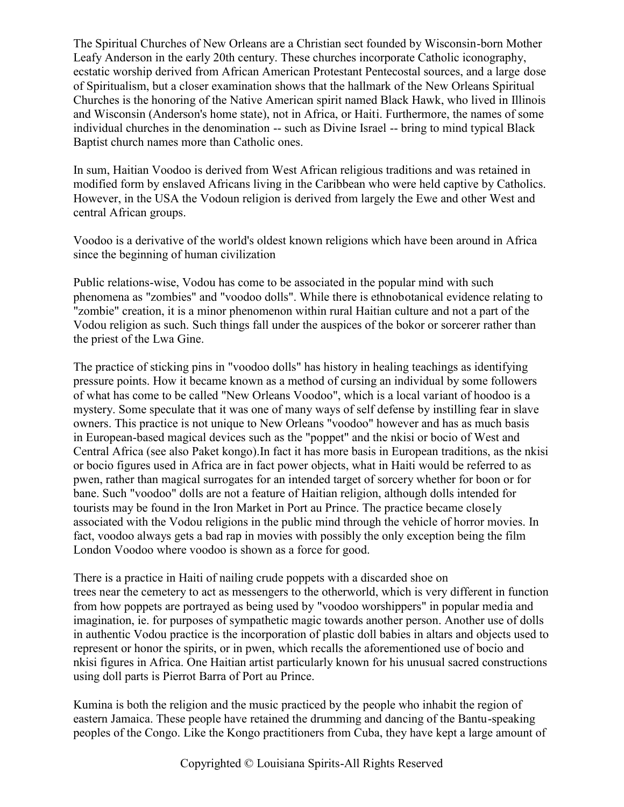The Spiritual Churches of New Orleans are a Christian sect founded by Wisconsin-born Mother Leafy Anderson in the early 20th century. These churches incorporate Catholic iconography, ecstatic worship derived from African American Protestant Pentecostal sources, and a large dose of Spiritualism, but a closer examination shows that the hallmark of the New Orleans Spiritual Churches is the honoring of the Native American spirit named Black Hawk, who lived in Illinois and Wisconsin (Anderson's home state), not in Africa, or Haiti. Furthermore, the names of some individual churches in the denomination -- such as Divine Israel -- bring to mind typical Black Baptist church names more than Catholic ones.

In sum, Haitian Voodoo is derived from West African religious traditions and was retained in modified form by enslaved Africans living in the Caribbean who were held captive by Catholics. However, in the USA the Vodoun religion is derived from largely the Ewe and other West and central African groups.

Voodoo is a derivative of the world's oldest known religions which have been around in Africa since the beginning of human civilization

Public relations-wise, Vodou has come to be associated in the popular mind with such phenomena as "zombies" and "voodoo dolls". While there is ethnobotanical evidence relating to "zombie" creation, it is a minor phenomenon within rural Haitian culture and not a part of the Vodou religion as such. Such things fall under the auspices of the bokor or sorcerer rather than the priest of the Lwa Gine.

The practice of sticking pins in "voodoo dolls" has history in healing teachings as identifying pressure points. How it became known as a method of cursing an individual by some followers of what has come to be called "New Orleans Voodoo", which is a local variant of hoodoo is a mystery. Some speculate that it was one of many ways of self defense by instilling fear in slave owners. This practice is not unique to New Orleans "voodoo" however and has as much basis in European-based magical devices such as the "poppet" and the nkisi or bocio of West and Central Africa (see also Paket kongo).In fact it has more basis in European traditions, as the nkisi or bocio figures used in Africa are in fact power objects, what in Haiti would be referred to as pwen, rather than magical surrogates for an intended target of sorcery whether for boon or for bane. Such "voodoo" dolls are not a feature of Haitian religion, although dolls intended for tourists may be found in the Iron Market in Port au Prince. The practice became closely associated with the Vodou religions in the public mind through the vehicle of horror movies. In fact, voodoo always gets a bad rap in movies with possibly the only exception being the film London Voodoo where voodoo is shown as a force for good.

There is a practice in Haiti of nailing crude poppets with a discarded shoe on trees near the cemetery to act as messengers to the otherworld, which is very different in function from how poppets are portrayed as being used by "voodoo worshippers" in popular media and imagination, ie. for purposes of sympathetic magic towards another person. Another use of dolls in authentic Vodou practice is the incorporation of plastic doll babies in altars and objects used to represent or honor the spirits, or in pwen, which recalls the aforementioned use of bocio and nkisi figures in Africa. One Haitian artist particularly known for his unusual sacred constructions using doll parts is Pierrot Barra of Port au Prince.

Kumina is both the religion and the music practiced by the people who inhabit the region of eastern Jamaica. These people have retained the drumming and dancing of the Bantu-speaking peoples of the Congo. Like the Kongo practitioners from Cuba, they have kept a large amount of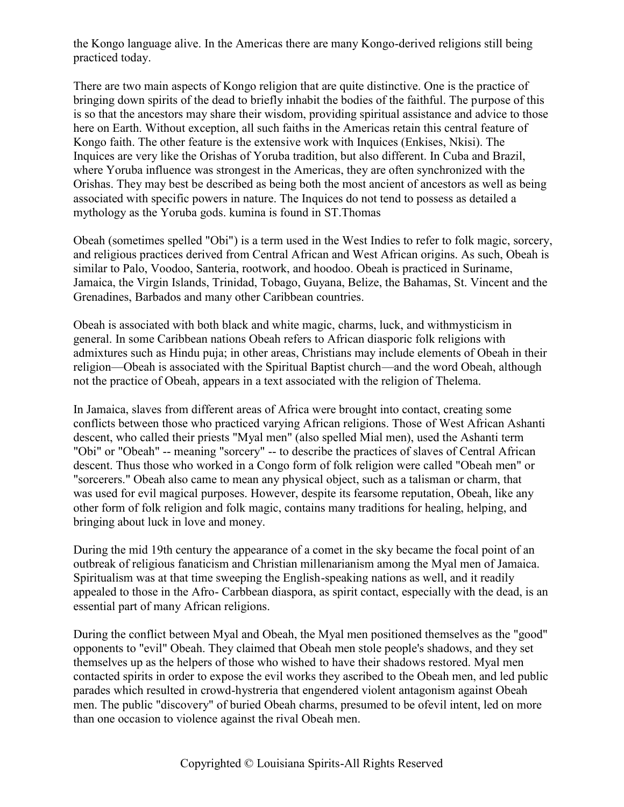the Kongo language alive. In the Americas there are many Kongo-derived religions still being practiced today.

There are two main aspects of Kongo religion that are quite distinctive. One is the practice of bringing down spirits of the dead to briefly inhabit the bodies of the faithful. The purpose of this is so that the ancestors may share their wisdom, providing spiritual assistance and advice to those here on Earth. Without exception, all such faiths in the Americas retain this central feature of Kongo faith. The other feature is the extensive work with Inquices (Enkises, Nkisi). The Inquices are very like the Orishas of Yoruba tradition, but also different. In Cuba and Brazil, where Yoruba influence was strongest in the Americas, they are often synchronized with the Orishas. They may best be described as being both the most ancient of ancestors as well as being associated with specific powers in nature. The Inquices do not tend to possess as detailed a mythology as the Yoruba gods. kumina is found in ST.Thomas

Obeah (sometimes spelled "Obi") is a term used in the West Indies to refer to folk magic, sorcery, and religious practices derived from Central African and West African origins. As such, Obeah is similar to Palo, Voodoo, Santeria, rootwork, and hoodoo. Obeah is practiced in Suriname, Jamaica, the Virgin Islands, Trinidad, Tobago, Guyana, Belize, the Bahamas, St. Vincent and the Grenadines, Barbados and many other Caribbean countries.

Obeah is associated with both black and white magic, charms, luck, and withmysticism in general. In some Caribbean nations Obeah refers to African diasporic folk religions with admixtures such as Hindu puja; in other areas, Christians may include elements of Obeah in their religion—Obeah is associated with the Spiritual Baptist church—and the word Obeah, although not the practice of Obeah, appears in a text associated with the religion of Thelema.

In Jamaica, slaves from different areas of Africa were brought into contact, creating some conflicts between those who practiced varying African religions. Those of West African Ashanti descent, who called their priests "Myal men" (also spelled Mial men), used the Ashanti term "Obi" or "Obeah" -- meaning "sorcery" -- to describe the practices of slaves of Central African descent. Thus those who worked in a Congo form of folk religion were called "Obeah men" or "sorcerers." Obeah also came to mean any physical object, such as a talisman or charm, that was used for evil magical purposes. However, despite its fearsome reputation, Obeah, like any other form of folk religion and folk magic, contains many traditions for healing, helping, and bringing about luck in love and money.

During the mid 19th century the appearance of a comet in the sky became the focal point of an outbreak of religious fanaticism and Christian millenarianism among the Myal men of Jamaica. Spiritualism was at that time sweeping the English-speaking nations as well, and it readily appealed to those in the Afro- Carbbean diaspora, as spirit contact, especially with the dead, is an essential part of many African religions.

During the conflict between Myal and Obeah, the Myal men positioned themselves as the "good" opponents to "evil" Obeah. They claimed that Obeah men stole people's shadows, and they set themselves up as the helpers of those who wished to have their shadows restored. Myal men contacted spirits in order to expose the evil works they ascribed to the Obeah men, and led public parades which resulted in crowd-hystreria that engendered violent antagonism against Obeah men. The public "discovery" of buried Obeah charms, presumed to be ofevil intent, led on more than one occasion to violence against the rival Obeah men.